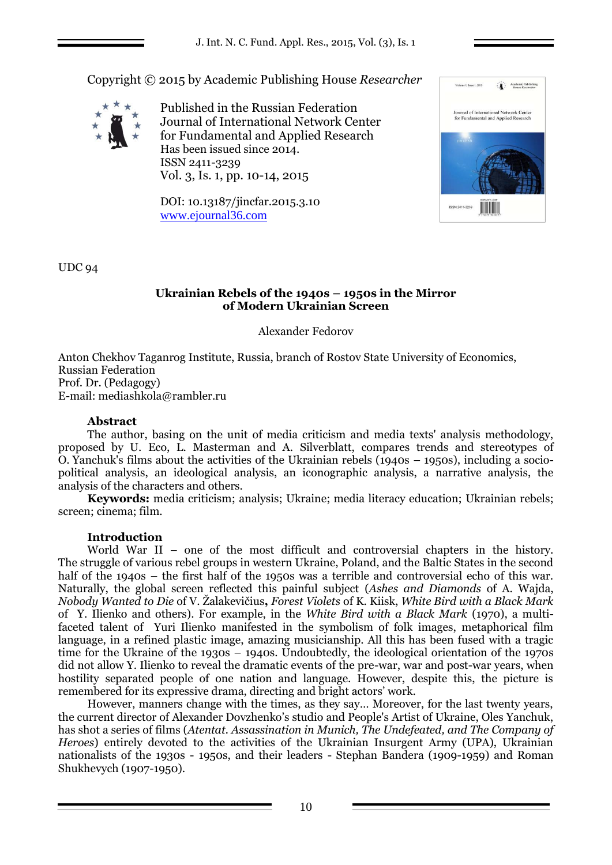Copyright © 2015 by Academic Publishing House *Researcher*



Published in the Russian Federation Journal of International Network Center for Fundamental and Applied Research Has been issued since 2014. ISSN 2411-3239 Vol. 3, Is. 1, pp. 10-14, 2015

DOI: 10.13187/jincfar.2015.3.10 [www.ejournal36.com](http://www.ejournal8.com/)



UDC 94

## **Ukrainian Rebels of the 1940s – 1950s in the Mirror of Modern Ukrainian Screen**

Alexander Fedorov

Anton Chekhov Taganrog Institute, Russia, branch of Rostov State University of Economics, Russian Federation Prof. Dr. (Pedagogy) E-mail: mediashkola@rambler.ru

# **Abstract**

The author, basing on the unit of media criticism and media texts' analysis methodology, proposed by U. Eco, L. Masterman and A. Silverblatt, compares trends and stereotypes of O. Yanchuk's films about the activities of the Ukrainian rebels (1940s – 1950s), including a sociopolitical analysis, an ideological analysis, an iconographic analysis, a narrative analysis, the analysis of the characters and others.

**Keywords:** media criticism; analysis; Ukraine; media literacy education; Ukrainian rebels; screen; cinema; film.

## **Introduction**

World War II – one of the most difficult and controversial chapters in the history. The struggle of various rebel groups in western Ukraine, Poland, and the Baltic States in the second half of the 1940s – the first half of the 1950s was a terrible and controversial echo of this war. Naturally, the global screen reflected this painful subject (*Ashes and Diamonds* of A. Wajda, *Nobody Wanted to Die* of V. Žalakevičius**,** *Forest Violets* of K. Kiisk, *White Bird with a Black Mark* of Y. Ilienko and others). For example, in the *White Bird with a Black Mark* (1970), a multifaceted talent of Yuri Ilienko manifested in the symbolism of folk images, metaphorical film language, in a refined plastic image, amazing musicianship. All this has been fused with a tragic time for the Ukraine of the 1930s – 1940s. Undoubtedly, the ideological orientation of the 1970s did not allow Y. Ilienko to reveal the dramatic events of the pre-war, war and post-war years, when hostility separated people of one nation and language. However, despite this, the picture is remembered for its expressive drama, directing and bright actors' work.

However, manners change with the times, as they say… Moreover, for the last twenty years, the current director of Alexander Dovzhenko's studio and People's Artist of Ukraine, Oles Yanchuk, has shot a series of films (*Atentat. Assassination in Munich, The Undefeated, and The Company of Heroes*) entirely devoted to the activities of the Ukrainian Insurgent Army (UPA), Ukrainian nationalists of the 1930s - 1950s, and their leaders - Stephan Bandera (1909-1959) and Roman Shukhevych (1907-1950).

10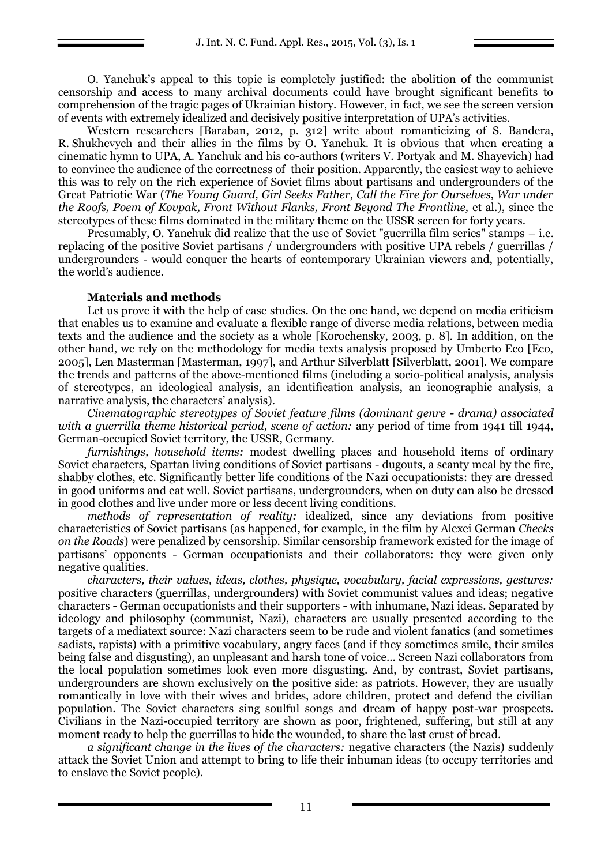O. Yanchuk's appeal to this topic is completely justified: the abolition of the communist censorship and access to many archival documents could have brought significant benefits to comprehension of the tragic pages of Ukrainian history. However, in fact, we see the screen version of events with extremely idealized and decisively positive interpretation of UPA's activities.

Western researchers [Baraban, 2012, p. 312] write about romanticizing of S. Bandera, R. Shukhevych and their allies in the films by O. Yanchuk. It is obvious that when creating a cinematic hymn to UPA, A. Yanchuk and his co-authors (writers V. Portyak and M. Shayevich) had to convince the audience of the correctness of their position. Apparently, the easiest way to achieve this was to rely on the rich experience of Soviet films about partisans and undergrounders of the Great Patriotic War (*The Young Guard, Girl Seeks Father, Call the Fire for Ourselves, War under the Roofs, Poem of Kovpak, Front Without Flanks, Front Beyond The Frontline,* et al.), since the stereotypes of these films dominated in the military theme on the USSR screen for forty years.

Presumably, O. Yanchuk did realize that the use of Soviet "guerrilla film series" stamps – i.e. replacing of the positive Soviet partisans / undergrounders with positive UPA rebels / guerrillas / undergrounders - would conquer the hearts of contemporary Ukrainian viewers and, potentially, the world's audience.

#### **Materials and methods**

Let us prove it with the help of case studies. On the one hand, we depend on media criticism that enables us to examine and evaluate a flexible range of diverse media relations, between media texts and the audience and the society as a whole [Korochensky, 2003, p. 8]. In addition, on the other hand, we rely on the methodology for media texts analysis proposed by Umberto Eco [Eco, 2005], Len Masterman [Masterman, 1997], and Arthur Silverblatt [Silverblatt, 2001]. We compare the trends and patterns of the above-mentioned films (including a socio-political analysis, analysis of stereotypes, an ideological analysis, an identification analysis, an iconographic analysis, a narrative analysis, the characters' analysis).

*Cinematographic stereotypes of Soviet feature films (dominant genre - drama) associated with a guerrilla theme historical period, scene of action:* any period of time from 1941 till 1944, German-occupied Soviet territory, the USSR, Germany.

*furnishings, household items:* modest dwelling places and household items of ordinary Soviet characters, Spartan living conditions of Soviet partisans - dugouts, a scanty meal by the fire, shabby clothes, etc. Significantly better life conditions of the Nazi occupationists: they are dressed in good uniforms and eat well. Soviet partisans, undergrounders, when on duty can also be dressed in good clothes and live under more or less decent living conditions.

*methods of representation of reality:* idealized, since any deviations from positive characteristics of Soviet partisans (as happened, for example, in the film by Alexei German *Checks on the Roads*) were penalized by censorship. Similar censorship framework existed for the image of partisans' opponents - German occupationists and their collaborators: they were given only negative qualities.

*characters, their values, ideas, clothes, physique, vocabulary, facial expressions, gestures:* positive characters (guerrillas, undergrounders) with Soviet communist values and ideas; negative characters - German occupationists and their supporters - with inhumane, Nazi ideas. Separated by ideology and philosophy (communist, Nazi), characters are usually presented according to the targets of a mediatext source: Nazi characters seem to be rude and violent fanatics (and sometimes sadists, rapists) with a primitive vocabulary, angry faces (and if they sometimes smile, their smiles being false and disgusting), an unpleasant and harsh tone of voice... Screen Nazi collaborators from the local population sometimes look even more disgusting. And, by contrast, Soviet partisans, undergrounders are shown exclusively on the positive side: as patriots. However, they are usually romantically in love with their wives and brides, adore children, protect and defend the civilian population. The Soviet characters sing soulful songs and dream of happy post-war prospects. Civilians in the Nazi-occupied territory are shown as poor, frightened, suffering, but still at any moment ready to help the guerrillas to hide the wounded, to share the last crust of bread.

*a significant change in the lives of the characters:* negative characters (the Nazis) suddenly attack the Soviet Union and attempt to bring to life their inhuman ideas (to occupy territories and to enslave the Soviet people).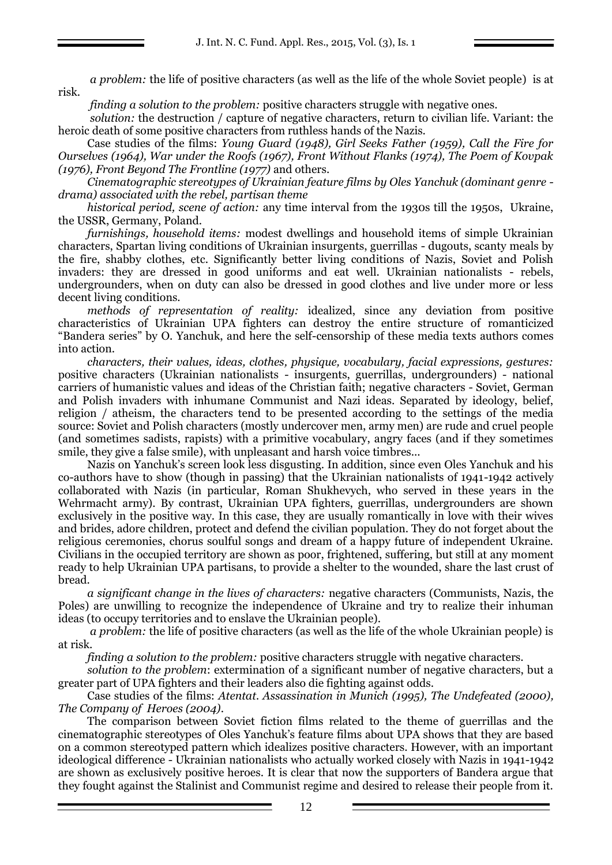*a problem:* the life of positive characters (as well as the life of the whole Soviet people) is at risk.

*finding a solution to the problem:* positive characters struggle with negative ones.

*solution:* the destruction / capture of negative characters, return to civilian life. Variant: the heroic death of some positive characters from ruthless hands of the Nazis.

Case studies of the films: *Young Guard (1948), Girl Seeks Father (1959), Call the Fire for Ourselves (1964), War under the Roofs (1967), Front Without Flanks (1974), The Poem of Kovpak (1976), Front Beyond The Frontline (1977)* and others.

*Cinematographic stereotypes of Ukrainian feature films by Oles Yanchuk (dominant genre drama) associated with the rebel, partisan theme*

*historical period, scene of action:* any time interval from the 1930s till the 1950s, Ukraine, the USSR, Germany, Poland.

*furnishings, household items:* modest dwellings and household items of simple Ukrainian characters, Spartan living conditions of Ukrainian insurgents, guerrillas - dugouts, scanty meals by the fire, shabby clothes, etc. Significantly better living conditions of Nazis, Soviet and Polish invaders: they are dressed in good uniforms and eat well. Ukrainian nationalists - rebels, undergrounders, when on duty can also be dressed in good clothes and live under more or less decent living conditions.

*methods of representation of reality:* idealized, since any deviation from positive characteristics of Ukrainian UPA fighters can destroy the entire structure of romanticized "Bandera series" by O. Yanchuk, and here the self-censorship of these media texts authors comes into action.

*characters, their values, ideas, clothes, physique, vocabulary, facial expressions, gestures:* positive characters (Ukrainian nationalists - insurgents, guerrillas, undergrounders) - national carriers of humanistic values and ideas of the Christian faith; negative characters - Soviet, German and Polish invaders with inhumane Communist and Nazi ideas. Separated by ideology, belief, religion / atheism, the characters tend to be presented according to the settings of the media source: Soviet and Polish characters (mostly undercover men, army men) are rude and cruel people (and sometimes sadists, rapists) with a primitive vocabulary, angry faces (and if they sometimes smile, they give a false smile), with unpleasant and harsh voice timbres...

Nazis on Yanchuk's screen look less disgusting. In addition, since even Oles Yanchuk and his co-authors have to show (though in passing) that the Ukrainian nationalists of 1941-1942 actively collaborated with Nazis (in particular, Roman Shukhevych, who served in these years in the Wehrmacht army). By contrast, Ukrainian UPA fighters, guerrillas, undergrounders are shown exclusively in the positive way. In this case, they are usually romantically in love with their wives and brides, adore children, protect and defend the civilian population. They do not forget about the religious ceremonies, chorus soulful songs and dream of a happy future of independent Ukraine. Civilians in the occupied territory are shown as poor, frightened, suffering, but still at any moment ready to help Ukrainian UPA partisans, to provide a shelter to the wounded, share the last crust of bread.

*a significant change in the lives of characters:* negative characters (Communists, Nazis, the Poles) are unwilling to recognize the independence of Ukraine and try to realize their inhuman ideas (to occupy territories and to enslave the Ukrainian people).

*a problem:* the life of positive characters (as well as the life of the whole Ukrainian people) is at risk.

*finding a solution to the problem:* positive characters struggle with negative characters.

*solution to the problem*: extermination of a significant number of negative characters, but a greater part of UPA fighters and their leaders also die fighting against odds.

Case studies of the films: *Atentat. Assassination in Munich (1995), The Undefeated (2000), The Company of Heroes (2004)*.

The comparison between Soviet fiction films related to the theme of guerrillas and the cinematographic stereotypes of Oles Yanchuk's feature films about UPA shows that they are based on a common stereotyped pattern which idealizes positive characters. However, with an important ideological difference - Ukrainian nationalists who actually worked closely with Nazis in 1941-1942 are shown as exclusively positive heroes. It is clear that now the supporters of Bandera argue that they fought against the Stalinist and Communist regime and desired to release their people from it.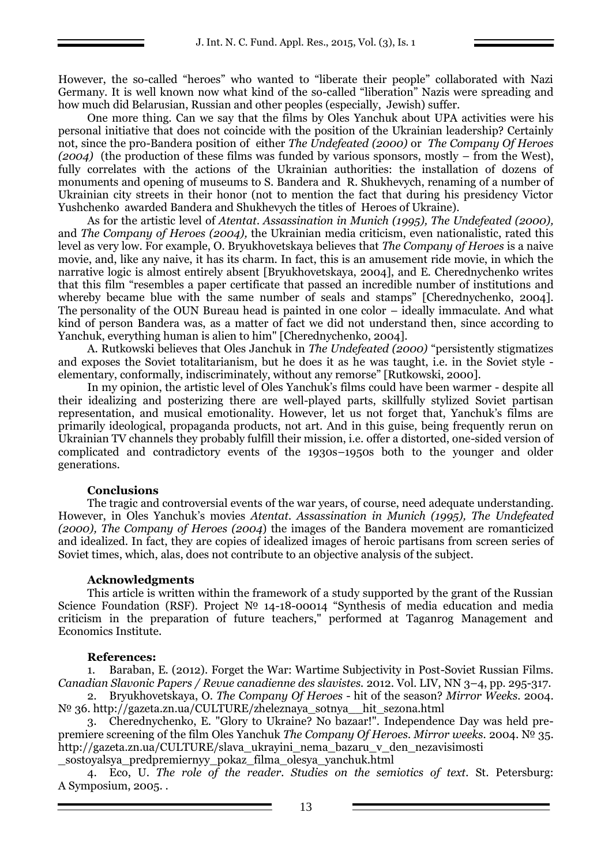However, the so-called "heroes" who wanted to "liberate their people" collaborated with Nazi Germany. It is well known now what kind of the so-called "liberation" Nazis were spreading and how much did Belarusian, Russian and other peoples (especially, Jewish) suffer.

One more thing. Can we say that the films by Oles Yanchuk about UPA activities were his personal initiative that does not coincide with the position of the Ukrainian leadership? Certainly not, since the pro-Bandera position of either *The Undefeated (2000)* or *The Company Of Heroes (2004)* (the production of these films was funded by various sponsors, mostly – from the West), fully correlates with the actions of the Ukrainian authorities: the installation of dozens of monuments and opening of museums to S. Bandera and R. Shukhevych, renaming of a number of Ukrainian city streets in their honor (not to mention the fact that during his presidency Victor Yushchenko awarded Bandera and Shukhevych the titles of Heroes of Ukraine).

As for the artistic level of *Atentat. Assassination in Munich (1995), The Undefeated (2000),*  and *The Company of Heroes (2004),* the Ukrainian media criticism, even nationalistic, rated this level as very low. For example, O. Bryukhovetskaya believes that *The Company of Heroes* is a naive movie, and, like any naive, it has its charm. In fact, this is an amusement ride movie, in which the narrative logic is almost entirely absent [Bryukhovetskaya, 2004], and E. Cherednychenko writes that this film "resembles a paper certificate that passed an incredible number of institutions and whereby became blue with the same number of seals and stamps" [Cherednychenko, 2004]. The personality of the OUN Bureau head is painted in one color – ideally immaculate. And what kind of person Bandera was, as a matter of fact we did not understand then, since according to Yanchuk, everything human is alien to him" [Cherednychenko, 2004].

A. Rutkowski believes that Oles Janchuk in *The Undefeated (2000)* "persistently stigmatizes and exposes the Soviet totalitarianism, but he does it as he was taught, i.e. in the Soviet style elementary, conformally, indiscriminately, without any remorse" [Rutkowski, 2000].

In my opinion, the artistic level of Oles Yanchuk's films could have been warmer - despite all their idealizing and posterizing there are well-played parts, skillfully stylized Soviet partisan representation, and musical emotionality. However, let us not forget that, Yanchuk's films are primarily ideological, propaganda products, not art. And in this guise, being frequently rerun on Ukrainian TV channels they probably fulfill their mission, i.e. offer a distorted, one-sided version of complicated and contradictory events of the 1930s–1950s both to the younger and older generations.

## **Conclusions**

The tragic and controversial events of the war years, of course, need adequate understanding. However, in Oles Yanchuk's movies *Atentat. Assassination in Munich (1995), The Undefeated (2000), The Company of Heroes (2004*) the images of the Bandera movement are romanticized and idealized. In fact, they are copies of idealized images of heroic partisans from screen series of Soviet times, which, alas, does not contribute to an objective analysis of the subject.

#### **Acknowledgments**

This article is written within the framework of a study supported by the grant of the Russian Science Foundation (RSF). Project № 14-18-00014 "Synthesis of media education and media criticism in the preparation of future teachers," performed at Taganrog Management and Economics Institute.

## **References:**

1. Baraban, E. (2012). Forget the War: Wartime Subjectivity in Post-Soviet Russian Films. *Canadian Slavonic Papers / Revue canadienne des slavistes.* 2012. Vol. LIV, NN 3–4, pp. 295-317.

2. Bryukhovetskaya, O. *The Company Of Heroes* - hit of the season? *Mirror Weeks.* 2004. № 36. http://gazeta.zn.ua/CULTURE/zheleznaya\_sotnya\_\_hit\_sezona.html

3. Cherednychenko, E. "Glory to Ukraine? No bazaar!". Independence Day was held prepremiere screening of the film Oles Yanchuk *The Company Of Heroes. Mirror weeks.* 2004. № 35. http://gazeta.zn.ua/CULTURE/slava\_ukrayini\_nema\_bazaru\_v\_den\_nezavisimosti \_sostoyalsya\_predpremiernyy\_pokaz\_filma\_olesya\_yanchuk.html

4. Eco, U. *The role of the reader. Studies on the semiotics of text.* St. Petersburg: A Symposium, 2005. .